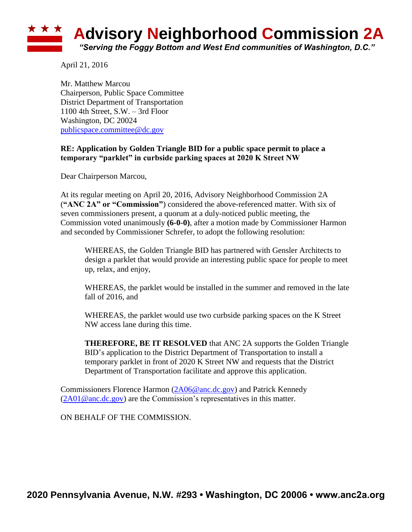## ★ ★ ★ **Advisory Neighborhood Commission 2A** *"Serving the Foggy Bottom and West End communities of Washington, D.C."*

April 21, 2016

Mr. Matthew Marcou Chairperson, Public Space Committee District Department of Transportation 1100 4th Street, S.W. – 3rd Floor Washington, DC 20024 [publicspace.committee@dc.gov](mailto:publicspace.committee@dc.gov)

## **RE: Application by Golden Triangle BID for a public space permit to place a temporary "parklet" in curbside parking spaces at 2020 K Street NW**

Dear Chairperson Marcou,

At its regular meeting on April 20, 2016, Advisory Neighborhood Commission 2A (**"ANC 2A" or "Commission"**) considered the above-referenced matter. With six of seven commissioners present, a quorum at a duly-noticed public meeting, the Commission voted unanimously **(6-0-0)**, after a motion made by Commissioner Harmon and seconded by Commissioner Schrefer, to adopt the following resolution:

WHEREAS, the Golden Triangle BID has partnered with Gensler Architects to design a parklet that would provide an interesting public space for people to meet up, relax, and enjoy,

WHEREAS, the parklet would be installed in the summer and removed in the late fall of 2016, and

WHEREAS, the parklet would use two curbside parking spaces on the K Street NW access lane during this time.

**THEREFORE, BE IT RESOLVED** that ANC 2A supports the Golden Triangle BID's application to the District Department of Transportation to install a temporary parklet in front of 2020 K Street NW and requests that the District Department of Transportation facilitate and approve this application.

Commissioners Florence Harmon [\(2A06@anc.dc.gov\)](mailto:2A06@anc.dc.gov) and Patrick Kennedy  $(2A01@anc.dc.gov)$  are the Commission's representatives in this matter.

ON BEHALF OF THE COMMISSION.